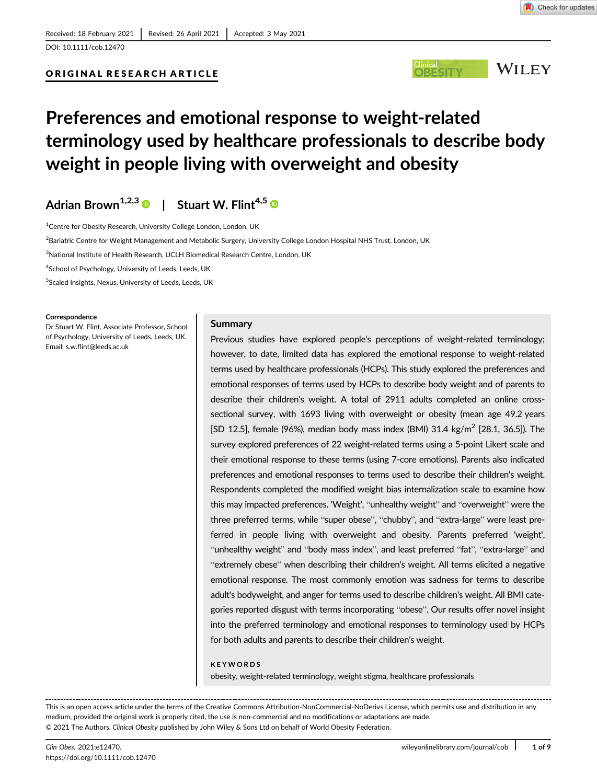# ORIGINAL RESEARCH ARTICLE



# Preferences and emotional response to weight-related terminology used by healthcare professionals to describe body weight in people living with overweight and obesity

Adrian Brown<sup>1,2,3</sup> | Stuart W. Flint<sup>4,5</sup>

<sup>1</sup>Centre for Obesity Research, University College London, London, UK

<sup>2</sup>Bariatric Centre for Weight Management and Metabolic Surgery, University College London Hospital NHS Trust, London, UK

 $^3$ National Institute of Health Research, UCLH Biomedical Research Centre, London, UK

<sup>4</sup>School of Psychology, University of Leeds, Leeds, UK

5 Scaled Insights, Nexus, University of Leeds, Leeds, UK

#### **Correspondence**

Dr Stuart W. Flint, Associate Professor, School of Psychology, University of Leeds, Leeds, UK. Email: [s.w.flint@leeds.ac.uk](mailto:s.w.flint@leeds.ac.uk)

#### Summary

Previous studies have explored people's perceptions of weight-related terminology; however, to date, limited data has explored the emotional response to weight-related terms used by healthcare professionals (HCPs). This study explored the preferences and emotional responses of terms used by HCPs to describe body weight and of parents to describe their children's weight. A total of 2911 adults completed an online crosssectional survey, with 1693 living with overweight or obesity (mean age 49.2 years [SD 12.5], female (96%), median body mass index (BMI) 31.4 kg/m<sup>2</sup> [28.1, 36.5]). The survey explored preferences of 22 weight-related terms using a 5-point Likert scale and their emotional response to these terms (using 7-core emotions). Parents also indicated preferences and emotional responses to terms used to describe their children's weight. Respondents completed the modified weight bias internalization scale to examine how this may impacted preferences. 'Weight', "unhealthy weight" and "overweight" were the three preferred terms, while "super obese", "chubby", and "extra-large" were least preferred in people living with overweight and obesity. Parents preferred 'weight', "unhealthy weight" and "body mass index", and least preferred "fat", "extra-large" and "extremely obese" when describing their children's weight. All terms elicited a negative emotional response. The most commonly emotion was sadness for terms to describe adult's bodyweight, and anger for terms used to describe children's weight. All BMI categories reported disgust with terms incorporating "obese". Our results offer novel insight into the preferred terminology and emotional responses to terminology used by HCPs for both adults and parents to describe their children's weight.

#### KEYWORDS

obesity, weight-related terminology, weight stigma, healthcare professionals

This is an open access article under the terms of the [Creative Commons Attribution-NonCommercial-NoDerivs](http://creativecommons.org/licenses/by-nc-nd/4.0/) License, which permits use and distribution in any medium, provided the original work is properly cited, the use is non-commercial and no modifications or adaptations are made. © 2021 The Authors. Clinical Obesity published by John Wiley & Sons Ltd on behalf of World Obesity Federation.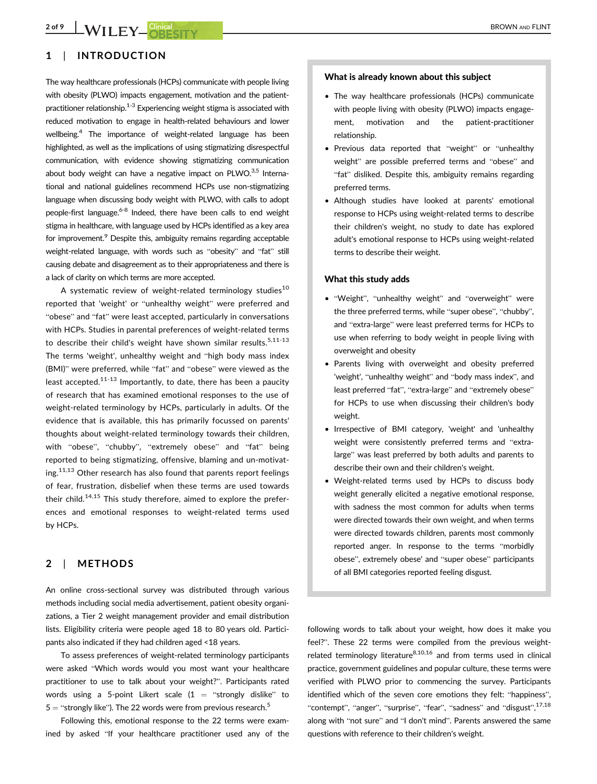# 1 | INTRODUCTION

The way healthcare professionals (HCPs) communicate with people living with obesity (PLWO) impacts engagement, motivation and the patientpractitioner relationship.<sup>1-3</sup> Experiencing weight stigma is associated with reduced motivation to engage in health-related behaviours and lower wellbeing.4 The importance of weight-related language has been highlighted, as well as the implications of using stigmatizing disrespectful communication, with evidence showing stigmatizing communication about body weight can have a negative impact on  $PLWO.<sup>3,5</sup>$  International and national guidelines recommend HCPs use non-stigmatizing language when discussing body weight with PLWO, with calls to adopt people-first language.<sup>6-8</sup> Indeed, there have been calls to end weight stigma in healthcare, with language used by HCPs identified as a key area for improvement.<sup>9</sup> Despite this, ambiguity remains regarding acceptable weight-related language, with words such as "obesity" and "fat" still causing debate and disagreement as to their appropriateness and there is a lack of clarity on which terms are more accepted.

A systematic review of weight-related terminology studies<sup>10</sup> reported that 'weight' or "unhealthy weight" were preferred and "obese" and "fat" were least accepted, particularly in conversations with HCPs. Studies in parental preferences of weight-related terms to describe their child's weight have shown similar results.<sup>5,11-13</sup> The terms 'weight', unhealthy weight and "high body mass index (BMI)" were preferred, while "fat" and "obese" were viewed as the least accepted.<sup>11-13</sup> Importantly, to date, there has been a paucity of research that has examined emotional responses to the use of weight-related terminology by HCPs, particularly in adults. Of the evidence that is available, this has primarily focussed on parents' thoughts about weight-related terminology towards their children, with "obese", "chubby", "extremely obese" and "fat" being reported to being stigmatizing, offensive, blaming and un-motivat $ing.<sup>11,13</sup>$  Other research has also found that parents report feelings of fear, frustration, disbelief when these terms are used towards their child.<sup>14,15</sup> This study therefore, aimed to explore the preferences and emotional responses to weight-related terms used by HCPs.

# 2 | METHODS

An online cross-sectional survey was distributed through various methods including social media advertisement, patient obesity organizations, a Tier 2 weight management provider and email distribution lists. Eligibility criteria were people aged 18 to 80 years old. Participants also indicated if they had children aged <18 years.

To assess preferences of weight-related terminology participants were asked "Which words would you most want your healthcare practitioner to use to talk about your weight?". Participants rated words using a 5-point Likert scale  $(1 =$  "strongly dislike" to  $5 =$  "strongly like"). The 22 words were from previous research.<sup>5</sup>

Following this, emotional response to the 22 terms were examined by asked "If your healthcare practitioner used any of the

#### What is already known about this subject

- The way healthcare professionals (HCPs) communicate with people living with obesity (PLWO) impacts engagement, motivation and the patient-practitioner relationship.
- Previous data reported that "weight" or "unhealthy weight" are possible preferred terms and "obese" and "fat" disliked. Despite this, ambiguity remains regarding preferred terms.
- Although studies have looked at parents' emotional response to HCPs using weight-related terms to describe their children's weight, no study to date has explored adult's emotional response to HCPs using weight-related terms to describe their weight.

#### What this study adds

- "Weight", "unhealthy weight" and "overweight" were the three preferred terms, while "super obese", "chubby", and "extra-large" were least preferred terms for HCPs to use when referring to body weight in people living with overweight and obesity
- Parents living with overweight and obesity preferred 'weight', "unhealthy weight" and "body mass index", and least preferred "fat", "extra-large" and "extremely obese" for HCPs to use when discussing their children's body weight.
- Irrespective of BMI category, 'weight' and 'unhealthy weight were consistently preferred terms and "extralarge" was least preferred by both adults and parents to describe their own and their children's weight.
- Weight-related terms used by HCPs to discuss body weight generally elicited a negative emotional response, with sadness the most common for adults when terms were directed towards their own weight, and when terms were directed towards children, parents most commonly reported anger. In response to the terms "morbidly obese", extremely obese' and "super obese" participants of all BMI categories reported feeling disgust.

following words to talk about your weight, how does it make you feel?". These 22 terms were compiled from the previous weightrelated terminology literature $8,10,16$  and from terms used in clinical practice, government guidelines and popular culture, these terms were verified with PLWO prior to commencing the survey. Participants identified which of the seven core emotions they felt: "happiness", "contempt", "anger", "surprise", "fear", "sadness" and "disgust", 17,18 along with "not sure" and "I don't mind". Parents answered the same questions with reference to their children's weight.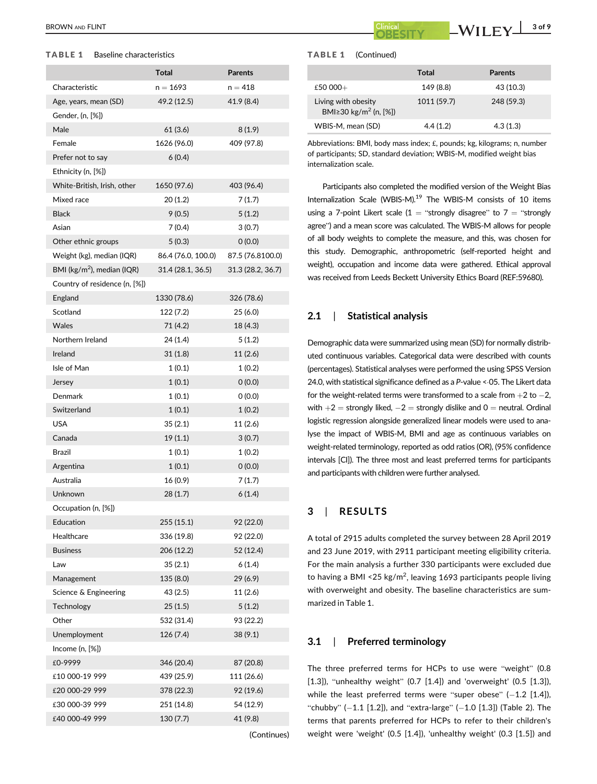## TABLE 1 Baseline characteristics

|                                       | <b>Total</b>       | <b>Parents</b>    |
|---------------------------------------|--------------------|-------------------|
| Characteristic                        | $n = 1693$         | $n = 418$         |
| Age, years, mean (SD)                 | 49.2 (12.5)        | 41.9 (8.4)        |
| Gender, (n, [%])                      |                    |                   |
| Male                                  | 61(3.6)            | 8(1.9)            |
| Female                                | 1626 (96.0)        | 409 (97.8)        |
| Prefer not to say                     | 6(0.4)             |                   |
| Ethnicity (n, [%])                    |                    |                   |
| White-British, Irish, other           | 1650 (97.6)        | 403 (96.4)        |
| Mixed race                            | 20(1.2)            | 7(1.7)            |
| <b>Black</b>                          | 9(0.5)             | 5(1.2)            |
| Asian                                 | 7 (0.4)            | 3(0.7)            |
| Other ethnic groups                   | 5(0.3)             | 0(0.0)            |
| Weight (kg), median (IQR)             | 86.4 (76.0, 100.0) | 87.5 (76.8100.0)  |
| BMI ( $\text{kg/m}^2$ ), median (IQR) | 31.4 (28.1, 36.5)  | 31.3 (28.2, 36.7) |
| Country of residence (n, [%])         |                    |                   |
| England                               | 1330 (78.6)        | 326 (78.6)        |
| Scotland                              | 122 (7.2)          | 25 (6.0)          |
| <b>Wales</b>                          | 71 (4.2)           | 18 (4.3)          |
| Northern Ireland                      | 24 (1.4)           | 5(1.2)            |
| Ireland                               | 31(1.8)            | 11(2.6)           |
| Isle of Man                           | 1(0.1)             | 1 (0.2)           |
| Jersey                                | 1(0.1)             | 0(0.0)            |
| Denmark                               | 1(0.1)             | (0.0)             |
| Switzerland                           | 1(0.1)             | 1(0.2)            |
| USA                                   | 35(2.1)            | 11 (2.6)          |
| Canada                                | 19(1.1)            | 3(0.7)            |
| Brazil                                | 1(0.1)             | 1(0.2)            |
| Argentina                             | 1(0.1)             | 0 (0.0)           |
| Australia                             | 16 (0.9)           | 7(1.7)            |
| Unknown                               | 28 (1.7)           | 6(1.4)            |
| Occupation (n, [%])                   |                    |                   |
| Education                             | 255 (15.1)         | 92 (22.0)         |
| Healthcare                            | 336 (19.8)         | 92 (22.0)         |
| <b>Business</b>                       | 206 (12.2)         | 52 (12.4)         |
| Law                                   | 35(2.1)            | 6(1.4)            |
| Management                            | 135 (8.0)          | 29 (6.9)          |
| Science & Engineering                 | 43 (2.5)           | 11(2.6)           |
| Technology                            | 25(1.5)            | 5(1.2)            |
| Other                                 | 532 (31.4)         | 93 (22.2)         |
| Unemployment                          | 126 (7.4)          | 38(9.1)           |
| Income (n, [%])                       |                    |                   |
| £0-9999                               | 346 (20.4)         | 87 (20.8)         |
| £10 000-19 999                        | 439 (25.9)         | 111 (26.6)        |
| £20 000-29 999                        | 378 (22.3)         | 92 (19.6)         |
| £30 000-39 999                        | 251 (14.8)         | 54 (12.9)         |
| £40 000-49 999                        | 130 (7.7)          | 41 (9.8)          |
|                                       |                    | (Continues)       |

BROWN AND FLINT  $\begin{array}{|c|c|c|c|c|}\hline \text{Glinical}&\text{Clinical}&\text{WII}&\text{FY} \end{array}$  3 of 9

#### TABLE 1 (Continued)

|                                                                 | Total       | <b>Parents</b> |  |
|-----------------------------------------------------------------|-------------|----------------|--|
| £50 000+                                                        | 149 (8.8)   | 43 (10.3)      |  |
| Living with obesity<br>BMI $\geq$ 30 kg/m <sup>2</sup> (n, [%]) | 1011 (59.7) | 248 (59.3)     |  |
| WBIS-M, mean (SD)                                               | 4.4(1.2)    | 4.3(1.3)       |  |

Abbreviations: BMI, body mass index; £, pounds; kg, kilograms; n, number of participants; SD, standard deviation; WBIS-M, modified weight bias internalization scale.

Participants also completed the modified version of the Weight Bias Internalization Scale (WBIS-M).<sup>19</sup> The WBIS-M consists of 10 items using a 7-point Likert scale (1 = "strongly disagree" to  $7$  = "strongly agree") and a mean score was calculated. The WBIS-M allows for people of all body weights to complete the measure, and this, was chosen for this study. Demographic, anthropometric (self-reported height and weight), occupation and income data were gathered. Ethical approval was received from Leeds Beckett University Ethics Board (REF:59680).

## 2.1 | Statistical analysis

Demographic data were summarized using mean (SD) for normally distributed continuous variables. Categorical data were described with counts (percentages). Statistical analyses were performed the using SPSS Version 24.0, with statistical significance defined as a P-value <- 05. The Likert data for the weight-related terms were transformed to a scale from  $+2$  to  $-2$ , with  $+2$  = strongly liked,  $-2$  = strongly dislike and 0 = neutral. Ordinal logistic regression alongside generalized linear models were used to analyse the impact of WBIS-M, BMI and age as continuous variables on weight-related terminology, reported as odd ratios (OR), (95% confidence intervals [CI]). The three most and least preferred terms for participants and participants with children were further analysed.

## 3 | RESULTS

A total of 2915 adults completed the survey between 28 April 2019 and 23 June 2019, with 2911 participant meeting eligibility criteria. For the main analysis a further 330 participants were excluded due to having a BMI <25 kg/m<sup>2</sup>, leaving 1693 participants people living with overweight and obesity. The baseline characteristics are summarized in Table 1.

## 3.1 | Preferred terminology

The three preferred terms for HCPs to use were "weight" (0.8 [1.3]), "unhealthy weight" (0.7 [1.4]) and 'overweight' (0.5 [1.3]), while the least preferred terms were "super obese"  $(-1.2 \, [1.4])$ , "chubby"  $(-1.1 [1.2])$ , and "extra-large"  $(-1.0 [1.3])$  (Table 2). The terms that parents preferred for HCPs to refer to their children's weight were 'weight' (0.5 [1.4]), 'unhealthy weight' (0.3 [1.5]) and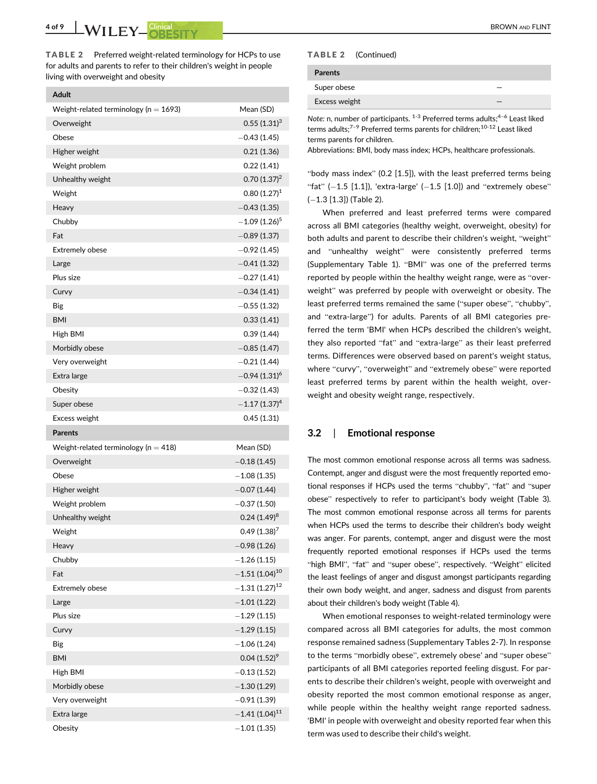Adult

TABLE 2 Preferred weight-related terminology for HCPs to use for adults and parents to refer to their children's weight in people living with overweight and obesity

| Weight-related terminology ( $n = 1693$ ) | Mean (SD)                  |
|-------------------------------------------|----------------------------|
| Overweight                                | $0.55(1.31)^3$             |
| Obese                                     | $-0.43(1.45)$              |
| Higher weight                             | 0.21(1.36)                 |
| Weight problem                            | 0.22(1.41)                 |
| Unhealthy weight                          | $0.70(1.37)^2$             |
| Weight                                    | $0.80(1.27)^1$             |
| Heavy                                     | $-0.43(1.35)$              |
| Chubby                                    | $-1.09(1.26)^5$            |
| Fat                                       | $-0.89(1.37)$              |
| <b>Extremely obese</b>                    | $-0.92$ (1.45)             |
| Large                                     | $-0.41(1.32)$              |
| Plus size                                 | $-0.27(1.41)$              |
| Curvy                                     | $-0.34(1.41)$              |
| Big                                       | $-0.55(1.32)$              |
| <b>BMI</b>                                | 0.33(1.41)                 |
| High BMI                                  | 0.39(1.44)                 |
| Morbidly obese                            | $-0.85(1.47)$              |
| Very overweight                           | $-0.21(1.44)$              |
| Extra large                               | $-0.94(1.31)^6$            |
| Obesity                                   | $-0.32(1.43)$              |
| Super obese                               | $-1.17(1.37)^4$            |
| Excess weight                             | 0.45(1.31)                 |
| <b>Parents</b>                            |                            |
| Weight-related terminology ( $n = 418$ )  | Mean (SD)                  |
| Overweight                                | $-0.18(1.45)$              |
| Obese                                     | $-1.08(1.35)$              |
| Higher weight                             | $-0.07(1.44)$              |
| Weight problem                            | $-0.37(1.50)$              |
| Unhealthy weight                          | $0.24$ (1.49) <sup>8</sup> |
| Weight                                    | $0.49(1.38)^7$             |
| Heavy                                     | 0.98(1.26)                 |
| Chubby                                    | $-1.26(1.15)$              |
| Fat                                       | $-1.51(1.04)^{10}$         |
| <b>Extremely obese</b>                    | $-1.31(1.27)^{12}$         |
| Large                                     | $-1.01(1.22)$              |
| Plus size                                 | $-1.29(1.15)$              |
| Curvy                                     | $-1.29(1.15)$              |
| Big                                       | $-1.06(1.24)$              |
| <b>BMI</b>                                | $0.04(1.52)^9$             |
| High BMI                                  | $-0.13(1.52)$              |
| Morbidly obese                            | $-1.30(1.29)$              |
| Very overweight                           | $-0.91(1.39)$              |
| Extra large                               | $-1.41(1.04)^{11}$         |
| Obesity                                   | $-1.01(1.35)$              |

#### TABLE 2 (Continued)

| <b>Parents</b> |               |     |
|----------------|---------------|-----|
| Super obese    |               |     |
| Excess weight  |               |     |
|                | $\sim$ $\sim$ | . . |

Note: n, number of participants.  $1-3$  Preferred terms adults; $4-6$  Least liked terms adults;<sup>7-9</sup> Preferred terms parents for children;<sup>10-12</sup> Least liked terms parents for children.

Abbreviations: BMI, body mass index; HCPs, healthcare professionals.

"body mass index" (0.2 [1.5]), with the least preferred terms being "fat"  $(-1.5 [1.1])$ , 'extra-large'  $(-1.5 [1.0])$  and "extremely obese"  $(-1.3$  [1.3]) (Table 2).

When preferred and least preferred terms were compared across all BMI categories (healthy weight, overweight, obesity) for both adults and parent to describe their children's weight, "weight" and "unhealthy weight" were consistently preferred terms (Supplementary Table 1). "BMI" was one of the preferred terms reported by people within the healthy weight range, were as "overweight" was preferred by people with overweight or obesity. The least preferred terms remained the same ("super obese", "chubby", and "extra-large") for adults. Parents of all BMI categories preferred the term 'BMI' when HCPs described the children's weight, they also reported "fat" and "extra-large" as their least preferred terms. Differences were observed based on parent's weight status, where "curvy", "overweight" and "extremely obese" were reported least preferred terms by parent within the health weight, overweight and obesity weight range, respectively.

### 3.2 | Emotional response

The most common emotional response across all terms was sadness. Contempt, anger and disgust were the most frequently reported emotional responses if HCPs used the terms "chubby", "fat" and "super obese" respectively to refer to participant's body weight (Table 3). The most common emotional response across all terms for parents when HCPs used the terms to describe their children's body weight was anger. For parents, contempt, anger and disgust were the most frequently reported emotional responses if HCPs used the terms "high BMI", "fat" and "super obese", respectively. "Weight" elicited the least feelings of anger and disgust amongst participants regarding their own body weight, and anger, sadness and disgust from parents about their children's body weight (Table 4).

When emotional responses to weight-related terminology were compared across all BMI categories for adults, the most common response remained sadness (Supplementary Tables 2-7). In response to the terms "morbidly obese", extremely obese' and "super obese" participants of all BMI categories reported feeling disgust. For parents to describe their children's weight, people with overweight and obesity reported the most common emotional response as anger, while people within the healthy weight range reported sadness. 'BMI' in people with overweight and obesity reported fear when this term was used to describe their child's weight.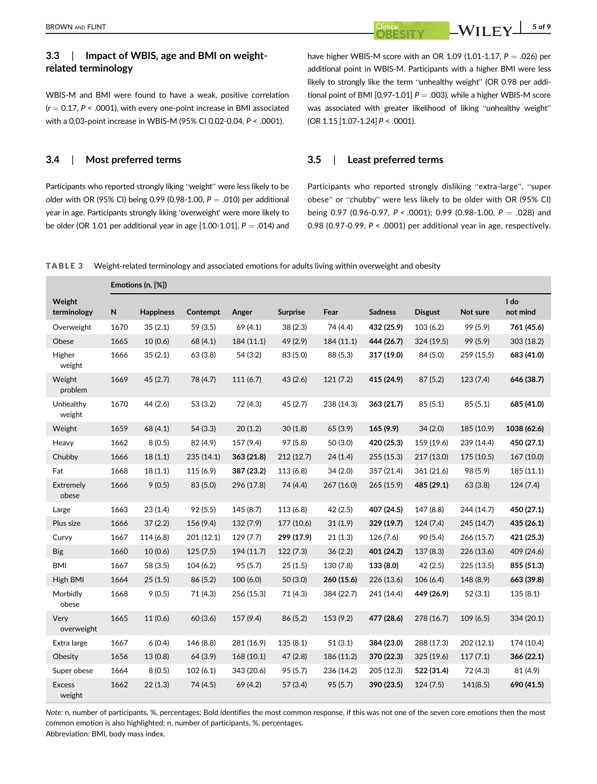# 3.3 | Impact of WBIS, age and BMI on weightrelated terminology

WBIS-M and BMI were found to have a weak, positive correlation  $(r = 0.17, P < .0001)$ , with every one-point increase in BMI associated with a 0.03-point increase in WBIS-M (95% CI 0.02-0.04, P < .0001).

### 3.4 | Most preferred terms

Participants who reported strongly liking "weight" were less likely to be older with OR (95% CI) being 0.99 (0.98-1.00,  $P = .010$ ) per additional year in age. Participants strongly liking 'overweight' were more likely to be older (OR 1.01 per additional year in age  $[1.00-1.01]$ ,  $P = .014$ ) and

have higher WBIS-M score with an OR 1.09 (1.01-1.17,  $P = .026$ ) per additional point in WBIS-M. Participants with a higher BMI were less likely to strongly like the term "unhealthy weight" (OR 0.98 per additional point of BMI [0.97-1.01]  $P = .003$ ), while a higher WBIS-M score was associated with greater likelihood of liking "unhealthy weight" (OR 1.15 [1.07-1.24] P < .0001).

## 3.5 | Least preferred terms

Participants who reported strongly disliking "extra-large", "super obese" or "chubby" were less likely to be older with OR (95% CI) being 0.97 (0.96-0.97,  $P < .0001$ ); 0.99 (0.98-1.00,  $P = .028$ ) and 0.98 (0.97-0.99, P < .0001) per additional year in age, respectively.

TABLE 3 Weight-related terminology and associated emotions for adults living within overweight and obesity

|                         |      | Emotions (n, [%]) |            |            |                 |            |                |                |            |                  |
|-------------------------|------|-------------------|------------|------------|-----------------|------------|----------------|----------------|------------|------------------|
| Weight<br>terminology   | N    | <b>Happiness</b>  | Contempt   | Anger      | <b>Surprise</b> | Fear       | <b>Sadness</b> | <b>Disgust</b> | Not sure   | I do<br>not mind |
| Overweight              | 1670 | 35(2.1)           | 59 (3.5)   | 69 (4.1)   | 38 (2.3)        | 74 (4.4)   | 432 (25.9)     | 103(6.2)       | 99 (5.9)   | 761 (45.6)       |
| Obese                   | 1665 | 10(0.6)           | 68 (4.1)   | 184 (11.1) | 49 (2.9)        | 184(11.1)  | 444 (26.7)     | 324 (19.5)     | 99 (5.9)   | 303 (18.2)       |
| Higher<br>weight        | 1666 | 35(2.1)           | 63 (3.8)   | 54 (3.2)   | 83 (5.0)        | 88 (5.3)   | 317 (19.0)     | 84 (5.0)       | 259 (15.5) | 683 (41.0)       |
| Weight<br>problem       | 1669 | 45(2.7)           | 78 (4.7)   | 111(6.7)   | 43(2.6)         | 121(7.2)   | 415 (24.9)     | 87(5.2)        | 123(7.4)   | 646 (38.7)       |
| Unhealthy<br>weight     | 1670 | 44 (2.6)          | 53 (3.2)   | 72 (4.3)   | 45(2.7)         | 238 (14.3) | 363 (21.7)     | 85(5.1)        | 85(5.1)    | 685 (41.0)       |
| Weight                  | 1659 | 68 (4.1)          | 54(3.3)    | 20(1.2)    | 30(1.8)         | 65 (3.9)   | 165 (9.9)      | 34(2.0)        | 185 (10.9) | 1038 (62.6)      |
| Heavy                   | 1662 | 8(0.5)            | 82 (4.9)   | 157 (9.4)  | 97 (5.8)        | 50(3.0)    | 420 (25.3)     | 159 (19.6)     | 239 (14.4) | 450 (27.1)       |
| Chubby                  | 1666 | 18(1.1)           | 235 (14.1) | 363 (21.8) | 212(12.7)       | 24(1.4)    | 255 (15.3)     | 217 (13.0)     | 175 (10.5) | 167 (10.0)       |
| Fat                     | 1668 | 18(1.1)           | 115(6.9)   | 387 (23.2) | 113 (6.8)       | 34(2.0)    | 357 (21.4)     | 361 (21.6)     | 98 (5.9)   | 185(11.1)        |
| Extremely<br>obese      | 1666 | 9(0.5)            | 83(5.0)    | 296 (17.8) | 74 (4.4)        | 267 (16.0) | 265(15.9)      | 485 (29.1)     | 63(3.8)    | 124(7.4)         |
| Large                   | 1663 | 23(1.4)           | 92(5.5)    | 145(8.7)   | 113(6.8)        | 42(2.5)    | 407 (24.5)     | 147 (8.8)      | 244 (14.7) | 450 (27.1)       |
| Plus size               | 1666 | 37(2.2)           | 156 (9.4)  | 132(7.9)   | 177 (10.6)      | 31(1.9)    | 329 (19.7)     | 124(7.4)       | 245 (14.7) | 435 (26.1)       |
| Curvy                   | 1667 | 114(6.8)          | 201 (12.1) | 129(7.7)   | 299 (17.9)      | 21(1.3)    | 126 (7.6)      | 90 (5.4)       | 266 (15.7) | 421 (25.3)       |
| <b>Big</b>              | 1660 | 10(0.6)           | 125(7.5)   | 194 (11.7) | 122(7.3)        | 36(2.2)    | 401 (24.2)     | 137(8.3)       | 226 (13.6) | 409 (24.6)       |
| <b>BMI</b>              | 1667 | 58 (3.5)          | 104(6.2)   | 95(5.7)    | 25(1.5)         | 130 (7.8)  | 133 (8.0)      | 42(2.5)        | 225 (13.5) | 855 (51.3)       |
| High BMI                | 1664 | 25(1.5)           | 86 (5.2)   | 100(6.0)   | 50(3.0)         | 260 (15.6) | 226 (13.6)     | 106(6.4)       | 148 (8.9)  | 663 (39.8)       |
| Morbidly<br>obese       | 1668 | 9(0.5)            | 71 (4.3)   | 256 (15.3) | 71 (4.3)        | 384 (22.7) | 241 (14.4)     | 449 (26.9)     | 52(3.1)    | 135(8.1)         |
| Very<br>overweight      | 1665 | 11(0.6)           | 60(3.6)    | 157(9.4)   | 86 (5.2)        | 153 (9.2)  | 477 (28.6)     | 278 (16.7)     | 109(6.5)   | 334 (20.1)       |
| Extra large             | 1667 | 6(0.4)            | 146 (8.8)  | 281 (16.9) | 135 (8.1)       | 51(3.1)    | 384 (23.0)     | 288 (17.3)     | 202 (12.1) | 174 (10.4)       |
| Obesity                 | 1656 | 13(0.8)           | 64 (3.9)   | 168 (10.1) | 47 (2.8)        | 186 (11.2) | 370 (22.3)     | 325 (19.6)     | 117(7.1)   | 366 (22.1)       |
| Super obese             | 1664 | 8(0.5)            | 102(6.1)   | 343 (20.6) | 95(5.7)         | 236 (14.2) | 205 (12.3)     | 522 (31.4)     | 72 (4.3)   | 81 (4.9)         |
| <b>Excess</b><br>weight | 1662 | 22(1.3)           | 74 (4.5)   | 69 (4.2)   | 57(3.4)         | 95(5.7)    | 390 (23.5)     | 124(7.5)       | 141(8.5)   | 690 (41.5)       |

Note: n, number of participants, %, percentages; Bold identifies the most common response, if this was not one of the seven core emotions then the most common emotion is also highlighted; n, number of participants, %, percentages. Abbreviation: BMI, body mass index.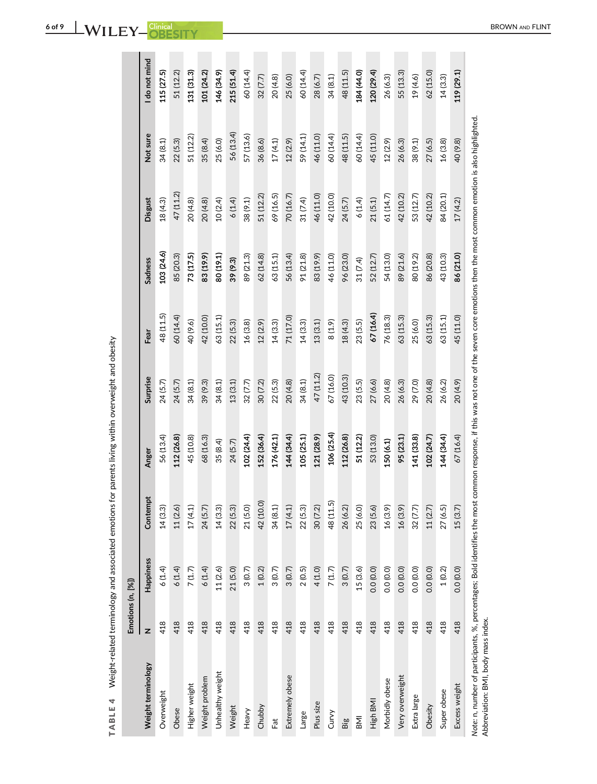|                                                                                                                 | Emotions (n, [%]) |           |           |                                                                                                                  |           |           |            |           |           |               |
|-----------------------------------------------------------------------------------------------------------------|-------------------|-----------|-----------|------------------------------------------------------------------------------------------------------------------|-----------|-----------|------------|-----------|-----------|---------------|
| Weight terminology                                                                                              | z                 | Happiness | Contempt  | Anger                                                                                                            | Surprise  | Fear      | Sadness    | Disgust   | Not sure  | I do not mind |
| Overweight                                                                                                      | 418               | 6(1.4)    | 14(3.3)   | 56 (13.4)                                                                                                        | 24 (5.7)  | 48 (11.5) | 103 (24.6) | 18(4.3)   | 34(8.1)   | 115 (27.5)    |
| Obese                                                                                                           | 418               | 6(1.4)    | 11 (2.6)  | 112 (26.8)                                                                                                       | 24(5.7)   | 60 (14.4) | 85 (20.3)  | 47 (11.2) | 22(5.3)   | 51 (12.2)     |
| Higher weight                                                                                                   | 418               | 7(1.7)    | 17(4.1)   | 45 (10.8)                                                                                                        | 34 (8.1)  | 40 (9.6)  | 73 (17.5)  | 20(4.8)   | 51 (12.2) | 131 (31.3)    |
| Weight problem                                                                                                  | 418               | 6(1.4)    | 24 (5.7)  | 68 (16.3)                                                                                                        | 39 (9.3)  | 42 (10.0) | 83 (19.9)  | 20(4.8)   | 35(8.4)   | 101 (24.2)    |
| Unhealthy weight                                                                                                | 418               | 11(2.6)   | 14(3.3)   | 35 (8.4)                                                                                                         | 34(8.1)   | 63 (15.1) | 80 (19.1)  | 10(2.4)   | 25(6.0)   | 146 (34.9)    |
| Weight                                                                                                          | 418               | 21(5.0)   | 22(5.3)   | 24(5.7)                                                                                                          | 13(3.1)   | 22(5.3)   | 39 (9.3)   | 6(1.4)    | 56 (13.4) | 215 (51.4)    |
| Heavy                                                                                                           | 418               | 3(0.7)    | 21 (5.0)  | 102 (24.4)                                                                                                       | 32(7.7)   | 16(3.8)   | 89 (21.3)  | 38 (9.1)  | 57 (13.6) | 60 (14.4)     |
| Chubby                                                                                                          | 418               | 1(0.2)    | 42 (10.0) | 152 (36.4)                                                                                                       | 30(7.2)   | 12(2.9)   | 62(14.8)   | 51 (12.2) | 36(8.6)   | 32(7.7)       |
| Fat                                                                                                             | 418               | 3(0.7)    | 34 (8.1)  | 176 (42.1)                                                                                                       | 22(5.3)   | 14(3.3)   | 63 (15.1)  | 69 (16.5) | 17(4.1)   | 20(4.8)       |
| Extremely obese                                                                                                 | 418               | 3(0.7)    | 17(4.1)   | 144 (34.4)                                                                                                       | 20(4.8)   | 71 (17.0) | 56 (13.4)  | 70 (16.7) | 12(2.9)   | 25(6.0)       |
| Large                                                                                                           | 418               | 2(0.5)    | 22(5.3)   | 105 (25.1)                                                                                                       | 34(8.1)   | 14(3.3)   | 91 (21.8)  | 31 (7.4)  | 59 (14.1) | 60 (14.4)     |
| Plus size                                                                                                       | 418               | 4 (1.0)   | 30 (7.2)  | 121 (28.9)                                                                                                       | 47 (11.2) | 13(3.1)   | 83 (19.9)  | 46 (11.0) | 46 (11.0) | 28(6.7)       |
| Curvy                                                                                                           | 418               | 7(1.7)    | 48 (11.5) | 106 (25.4)                                                                                                       | 67 (16.0) | 8(1.9)    | 46 (11.0)  | 42 (10.0) | 60 (14.4) | 34(8.1)       |
| Big                                                                                                             | 418               | 3(0.7)    | 26 (6.2)  | 112 (26.8)                                                                                                       | 43 (10.3) | 18(4.3)   | 96 (23.0)  | 24(5.7)   | 48 (11.5) | 48 (11.5)     |
| <b>IIN</b>                                                                                                      | 418               | 15(3.6)   | 25 (6.0)  | 51 (12.2)                                                                                                        | 23(5.5)   | 23(5.5)   | 31 (7.4)   | 6(1.4)    | 60 (14.4) | 184 (44.0)    |
| High BMI                                                                                                        | 418               | 0.0(0.0)  | 23(5.6)   | 53 (13.0)                                                                                                        | 27(6.6)   | 67 (16.4) | 52 (12.7)  | 21(5.1)   | 45 (11.0) | 120 (29.4)    |
| Morbidly obese                                                                                                  | 418               | 0.0(0.0)  | 16(3.9)   | 150 (6.1)                                                                                                        | 20(4.8)   | 76 (18.3) | 54 (13.0)  | 61 (14.7) | 12(2.9)   | 26(6.3)       |
| Very overweight                                                                                                 | 418               | 0.0(0.0)  | 16(3.9)   | 95 (23.1)                                                                                                        | 26(6.3)   | 63 (15.3) | 89 (21.6)  | 42 (10.2) | 26(6.3)   | 55 (13.3)     |
| Extra large                                                                                                     | 418               | 0.0(0.0)  | 32(7.7)   | 141 (33.8)                                                                                                       | 29 (7.0)  | 25 (6.0)  | 80 (19.2)  | 53 (12.7) | 38(9.1)   | 19 (4.6)      |
| Obesity                                                                                                         | 418               | 0.0(0.0)  | 11(2.7)   | 102 (24.7)                                                                                                       | 20(4.8)   | 63 (15.3) | 86 (20.8)  | 42 (10.2) | 27(6.5)   | 62 (15.0)     |
| Super obese                                                                                                     | 418               | 1(0.2)    | 27(6.5)   | 144 (34.4)                                                                                                       | 26 (6.2)  | 63 (15.1) | 43 (10.3)  | 84 (20.1) | 16(3.8)   | 14(3.3)       |
| Excess weight                                                                                                   | 418               | 0.0(0.0)  | 15(3.7)   | 67 (16.4)                                                                                                        | 20(4.9)   | 45 (11.0) | 86 (21.0)  | 17(4.2)   | 40 (9.8)  | 119 (29.1)    |
| Note: n, number of participants, %, percentages; Bold identifies the most<br>Abbreviation: BMI, body mass index |                   |           |           | common response, if this was not one of the seven core emotions then the most common emotion is also highlighted |           |           |            |           |           |               |

TABLE 4 Weight-related terminology and associated emotions for parents living within overweight and obesity TABLE 4 Weight-related terminology and associated emotions for parents living within overweight and obesity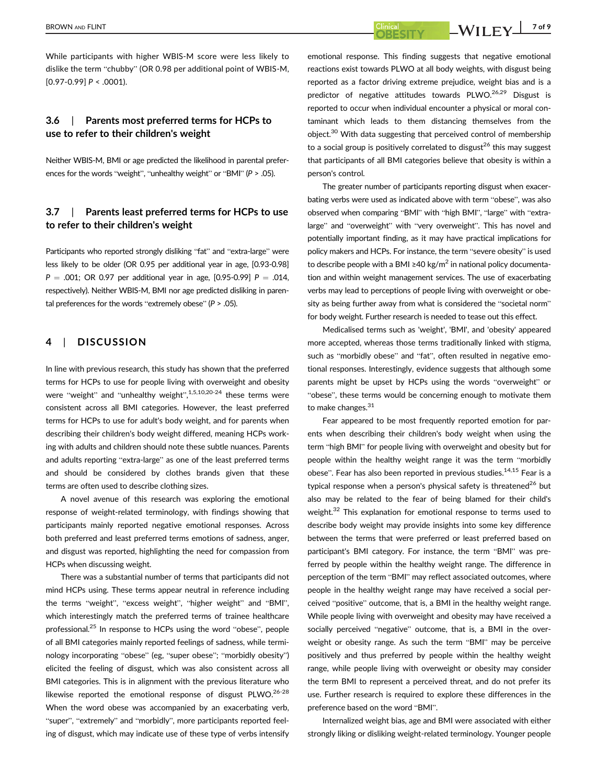While participants with higher WBIS-M score were less likely to dislike the term "chubby" (OR 0.98 per additional point of WBIS-M,  $[0.97 - 0.99] P < .0001$ ).

# 3.6 | Parents most preferred terms for HCPs to use to refer to their children's weight

Neither WBIS-M, BMI or age predicted the likelihood in parental preferences for the words "weight", "unhealthy weight" or "BMI" ( $P > .05$ ).

# 3.7 | Parents least preferred terms for HCPs to use to refer to their children's weight

Participants who reported strongly disliking "fat" and "extra-large" were less likely to be older (OR 0.95 per additional year in age, [0.93-0.98]  $P = .001$ ; OR 0.97 per additional year in age, [0.95-0.99]  $P = .014$ , respectively). Neither WBIS-M, BMI nor age predicted disliking in parental preferences for the words "extremely obese"  $(P > .05)$ .

# 4 | DISCUSSION

In line with previous research, this study has shown that the preferred terms for HCPs to use for people living with overweight and obesity were "weight" and "unhealthy weight",<sup>1,5,10,20-24</sup> these terms were consistent across all BMI categories. However, the least preferred terms for HCPs to use for adult's body weight, and for parents when describing their children's body weight differed, meaning HCPs working with adults and children should note these subtle nuances. Parents and adults reporting "extra-large" as one of the least preferred terms and should be considered by clothes brands given that these terms are often used to describe clothing sizes.

A novel avenue of this research was exploring the emotional response of weight-related terminology, with findings showing that participants mainly reported negative emotional responses. Across both preferred and least preferred terms emotions of sadness, anger, and disgust was reported, highlighting the need for compassion from HCPs when discussing weight.

There was a substantial number of terms that participants did not mind HCPs using. These terms appear neutral in reference including the terms "weight", "excess weight", "higher weight" and "BMI", which interestingly match the preferred terms of trainee healthcare professional.<sup>25</sup> In response to HCPs using the word "obese", people of all BMI categories mainly reported feelings of sadness, while terminology incorporating "obese" (eg, "super obese"; "morbidly obesity") elicited the feeling of disgust, which was also consistent across all BMI categories. This is in alignment with the previous literature who likewise reported the emotional response of disgust PLWO.<sup>26-28</sup> When the word obese was accompanied by an exacerbating verb, "super", "extremely" and "morbidly", more participants reported feeling of disgust, which may indicate use of these type of verbs intensify

emotional response. This finding suggests that negative emotional reactions exist towards PLWO at all body weights, with disgust being reported as a factor driving extreme prejudice, weight bias and is a predictor of negative attitudes towards PLWO.<sup>26,29</sup> Disgust is reported to occur when individual encounter a physical or moral contaminant which leads to them distancing themselves from the object.<sup>30</sup> With data suggesting that perceived control of membership to a social group is positively correlated to disgust<sup>26</sup> this may suggest that participants of all BMI categories believe that obesity is within a person's control.

The greater number of participants reporting disgust when exacerbating verbs were used as indicated above with term "obese", was also observed when comparing "BMI" with "high BMI", "large" with "extralarge" and "overweight" with "very overweight". This has novel and potentially important finding, as it may have practical implications for policy makers and HCPs. For instance, the term "severe obesity" is used to describe people with a BMI ≥40 kg/m<sup>2</sup> in national policy documentation and within weight management services. The use of exacerbating verbs may lead to perceptions of people living with overweight or obesity as being further away from what is considered the "societal norm" for body weight. Further research is needed to tease out this effect.

Medicalised terms such as 'weight', 'BMI', and 'obesity' appeared more accepted, whereas those terms traditionally linked with stigma, such as "morbidly obese" and "fat", often resulted in negative emotional responses. Interestingly, evidence suggests that although some parents might be upset by HCPs using the words "overweight" or "obese", these terms would be concerning enough to motivate them to make changes.<sup>31</sup>

Fear appeared to be most frequently reported emotion for parents when describing their children's body weight when using the term "high BMI" for people living with overweight and obesity but for people within the healthy weight range it was the term "morbidly obese". Fear has also been reported in previous studies.<sup>14,15</sup> Fear is a typical response when a person's physical safety is threatened<sup>26</sup> but also may be related to the fear of being blamed for their child's weight.<sup>32</sup> This explanation for emotional response to terms used to describe body weight may provide insights into some key difference between the terms that were preferred or least preferred based on participant's BMI category. For instance, the term "BMI" was preferred by people within the healthy weight range. The difference in perception of the term "BMI" may reflect associated outcomes, where people in the healthy weight range may have received a social perceived "positive" outcome, that is, a BMI in the healthy weight range. While people living with overweight and obesity may have received a socially perceived "negative" outcome, that is, a BMI in the overweight or obesity range. As such the term "BMI" may be perceive positively and thus preferred by people within the healthy weight range, while people living with overweight or obesity may consider the term BMI to represent a perceived threat, and do not prefer its use. Further research is required to explore these differences in the preference based on the word "BMI".

Internalized weight bias, age and BMI were associated with either strongly liking or disliking weight-related terminology. Younger people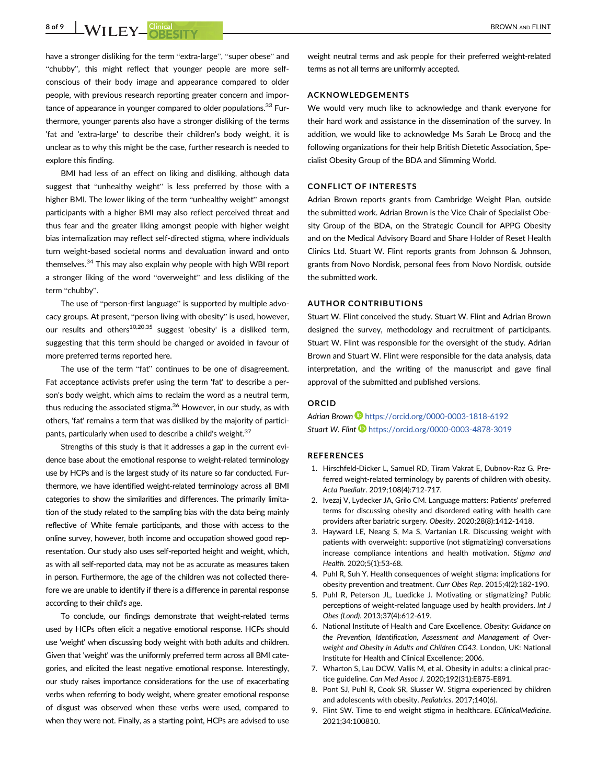8 of 9 WILEY Clinical CITY CONSERVERS AND FLINT

have a stronger disliking for the term "extra-large", "super obese" and "chubby", this might reflect that younger people are more selfconscious of their body image and appearance compared to older people, with previous research reporting greater concern and importance of appearance in younger compared to older populations.<sup>33</sup> Furthermore, younger parents also have a stronger disliking of the terms 'fat and 'extra-large' to describe their children's body weight, it is unclear as to why this might be the case, further research is needed to explore this finding.

BMI had less of an effect on liking and disliking, although data suggest that "unhealthy weight" is less preferred by those with a higher BMI. The lower liking of the term "unhealthy weight" amongst participants with a higher BMI may also reflect perceived threat and thus fear and the greater liking amongst people with higher weight bias internalization may reflect self-directed stigma, where individuals turn weight-based societal norms and devaluation inward and onto themselves.<sup>34</sup> This may also explain why people with high WBI report a stronger liking of the word "overweight" and less disliking of the term "chubby".

The use of "person-first language" is supported by multiple advocacy groups. At present, "person living with obesity" is used, however, our results and others<sup>10,20,35</sup> suggest 'obesity' is a disliked term, suggesting that this term should be changed or avoided in favour of more preferred terms reported here.

The use of the term "fat" continues to be one of disagreement. Fat acceptance activists prefer using the term 'fat' to describe a person's body weight, which aims to reclaim the word as a neutral term, thus reducing the associated stigma. $36$  However, in our study, as with others, 'fat' remains a term that was disliked by the majority of participants, particularly when used to describe a child's weight.<sup>37</sup>

Strengths of this study is that it addresses a gap in the current evidence base about the emotional response to weight-related terminology use by HCPs and is the largest study of its nature so far conducted. Furthermore, we have identified weight-related terminology across all BMI categories to show the similarities and differences. The primarily limitation of the study related to the sampling bias with the data being mainly reflective of White female participants, and those with access to the online survey, however, both income and occupation showed good representation. Our study also uses self-reported height and weight, which, as with all self-reported data, may not be as accurate as measures taken in person. Furthermore, the age of the children was not collected therefore we are unable to identify if there is a difference in parental response according to their child's age.

To conclude, our findings demonstrate that weight-related terms used by HCPs often elicit a negative emotional response. HCPs should use 'weight' when discussing body weight with both adults and children. Given that 'weight' was the uniformly preferred term across all BMI categories, and elicited the least negative emotional response. Interestingly, our study raises importance considerations for the use of exacerbating verbs when referring to body weight, where greater emotional response of disgust was observed when these verbs were used, compared to when they were not. Finally, as a starting point, HCPs are advised to use

weight neutral terms and ask people for their preferred weight-related terms as not all terms are uniformly accepted.

## ACKNOWLEDGEMENTS

We would very much like to acknowledge and thank everyone for their hard work and assistance in the dissemination of the survey. In addition, we would like to acknowledge Ms Sarah Le Brocq and the following organizations for their help British Dietetic Association, Specialist Obesity Group of the BDA and Slimming World.

## CONFLICT OF INTERESTS

Adrian Brown reports grants from Cambridge Weight Plan, outside the submitted work. Adrian Brown is the Vice Chair of Specialist Obesity Group of the BDA, on the Strategic Council for APPG Obesity and on the Medical Advisory Board and Share Holder of Reset Health Clinics Ltd. Stuart W. Flint reports grants from Johnson & Johnson, grants from Novo Nordisk, personal fees from Novo Nordisk, outside the submitted work.

#### AUTHOR CONTRIBUTIONS

Stuart W. Flint conceived the study. Stuart W. Flint and Adrian Brown designed the survey, methodology and recruitment of participants. Stuart W. Flint was responsible for the oversight of the study. Adrian Brown and Stuart W. Flint were responsible for the data analysis, data interpretation, and the writing of the manuscript and gave final approval of the submitted and published versions.

## ORCID

Adrian Brown D <https://orcid.org/0000-0003-1818-6192> Stuart W. Flint D <https://orcid.org/0000-0003-4878-3019>

#### **REFERENCES**

- 1. Hirschfeld-Dicker L, Samuel RD, Tiram Vakrat E, Dubnov-Raz G. Preferred weight-related terminology by parents of children with obesity. Acta Paediatr. 2019;108(4):712-717.
- 2. Ivezaj V, Lydecker JA, Grilo CM. Language matters: Patients' preferred terms for discussing obesity and disordered eating with health care providers after bariatric surgery. Obesity. 2020;28(8):1412-1418.
- 3. Hayward LE, Neang S, Ma S, Vartanian LR. Discussing weight with patients with overweight: supportive (not stigmatizing) conversations increase compliance intentions and health motivation. Stigma and Health. 2020;5(1):53-68.
- 4. Puhl R, Suh Y. Health consequences of weight stigma: implications for obesity prevention and treatment. Curr Obes Rep. 2015;4(2):182-190.
- 5. Puhl R, Peterson JL, Luedicke J. Motivating or stigmatizing? Public perceptions of weight-related language used by health providers. Int J Obes (Lond). 2013;37(4):612-619.
- 6. National Institute of Health and Care Excellence. Obesity: Guidance on the Prevention, Identification, Assessment and Management of Overweight and Obesity in Adults and Children CG43. London, UK: National Institute for Health and Clinical Excellence; 2006.
- 7. Wharton S, Lau DCW, Vallis M, et al. Obesity in adults: a clinical practice guideline. Can Med Assoc J. 2020;192(31):E875-E891.
- 8. Pont SJ, Puhl R, Cook SR, Slusser W. Stigma experienced by children and adolescents with obesity. Pediatrics. 2017;140(6).
- 9. Flint SW. Time to end weight stigma in healthcare. EClinicalMedicine. 2021;34:100810.